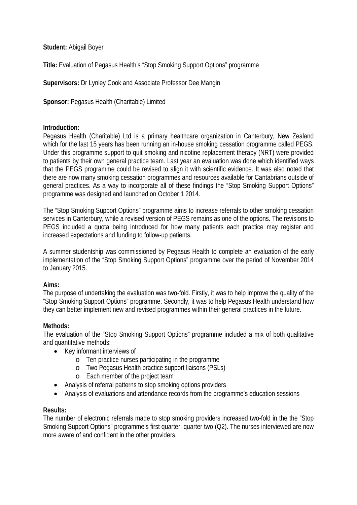# **Student:** Abigail Boyer

**Title:** Evaluation of Pegasus Health's "Stop Smoking Support Options" programme

**Supervisors:** Dr Lynley Cook and Associate Professor Dee Mangin

**Sponsor:** Pegasus Health (Charitable) Limited

## **Introduction:**

Pegasus Health (Charitable) Ltd is a primary healthcare organization in Canterbury, New Zealand which for the last 15 years has been running an in-house smoking cessation programme called PEGS. Under this programme support to quit smoking and nicotine replacement therapy (NRT) were provided to patients by their own general practice team. Last year an evaluation was done which identified ways that the PEGS programme could be revised to align it with scientific evidence. It was also noted that there are now many smoking cessation programmes and resources available for Cantabrians outside of general practices. As a way to incorporate all of these findings the "Stop Smoking Support Options" programme was designed and launched on October 1 2014.

The "Stop Smoking Support Options" programme aims to increase referrals to other smoking cessation services in Canterbury, while a revised version of PEGS remains as one of the options. The revisions to PEGS included a quota being introduced for how many patients each practice may register and increased expectations and funding to follow-up patients.

A summer studentship was commissioned by Pegasus Health to complete an evaluation of the early implementation of the "Stop Smoking Support Options" programme over the period of November 2014 to January 2015.

## **Aims:**

The purpose of undertaking the evaluation was two-fold. Firstly, it was to help improve the quality of the "Stop Smoking Support Options" programme. Secondly, it was to help Pegasus Health understand how they can better implement new and revised programmes within their general practices in the future.

## **Methods:**

The evaluation of the "Stop Smoking Support Options" programme included a mix of both qualitative and quantitative methods:

- Key informant interviews of
	- o Ten practice nurses participating in the programme
	- o Two Pegasus Health practice support liaisons (PSLs)
	- o Each member of the project team
- Analysis of referral patterns to stop smoking options providers
- Analysis of evaluations and attendance records from the programme's education sessions

## **Results:**

The number of electronic referrals made to stop smoking providers increased two-fold in the the "Stop Smoking Support Options" programme's first quarter, quarter two (Q2). The nurses interviewed are now more aware of and confident in the other providers.